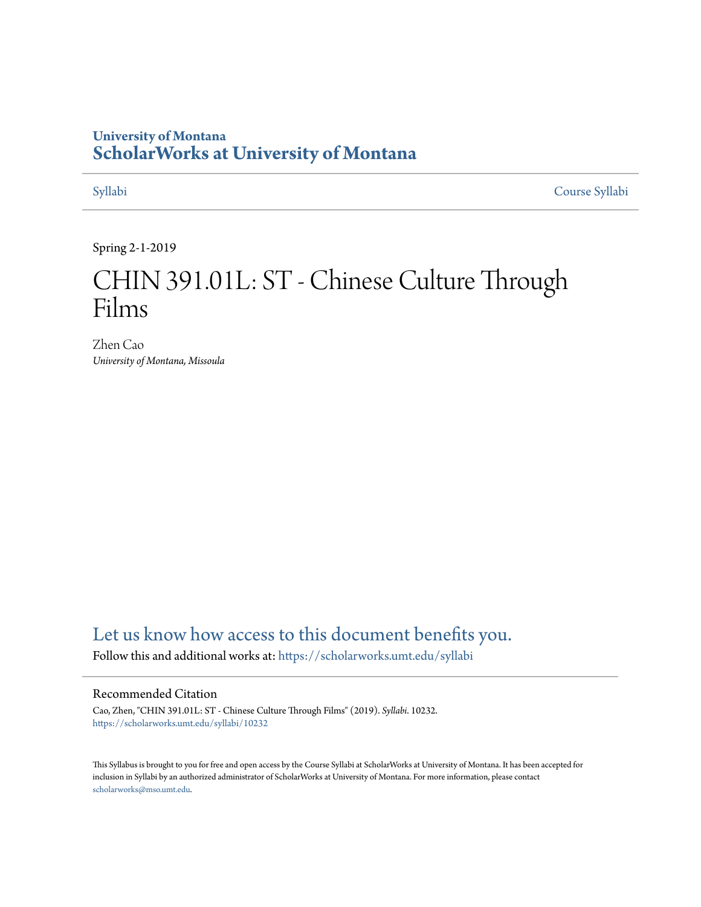## **University of Montana [ScholarWorks at University of Montana](https://scholarworks.umt.edu/?utm_source=scholarworks.umt.edu%2Fsyllabi%2F10232&utm_medium=PDF&utm_campaign=PDFCoverPages)**

[Syllabi](https://scholarworks.umt.edu/syllabi?utm_source=scholarworks.umt.edu%2Fsyllabi%2F10232&utm_medium=PDF&utm_campaign=PDFCoverPages) [Course Syllabi](https://scholarworks.umt.edu/course_syllabi?utm_source=scholarworks.umt.edu%2Fsyllabi%2F10232&utm_medium=PDF&utm_campaign=PDFCoverPages)

Spring 2-1-2019

# CHIN 391.01L: ST - Chinese Culture Through Films

Zhen Cao *University of Montana, Missoula*

# [Let us know how access to this document benefits you.](https://goo.gl/forms/s2rGfXOLzz71qgsB2)

Follow this and additional works at: [https://scholarworks.umt.edu/syllabi](https://scholarworks.umt.edu/syllabi?utm_source=scholarworks.umt.edu%2Fsyllabi%2F10232&utm_medium=PDF&utm_campaign=PDFCoverPages)

#### Recommended Citation

Cao, Zhen, "CHIN 391.01L: ST - Chinese Culture Through Films" (2019). *Syllabi*. 10232. [https://scholarworks.umt.edu/syllabi/10232](https://scholarworks.umt.edu/syllabi/10232?utm_source=scholarworks.umt.edu%2Fsyllabi%2F10232&utm_medium=PDF&utm_campaign=PDFCoverPages)

This Syllabus is brought to you for free and open access by the Course Syllabi at ScholarWorks at University of Montana. It has been accepted for inclusion in Syllabi by an authorized administrator of ScholarWorks at University of Montana. For more information, please contact [scholarworks@mso.umt.edu](mailto:scholarworks@mso.umt.edu).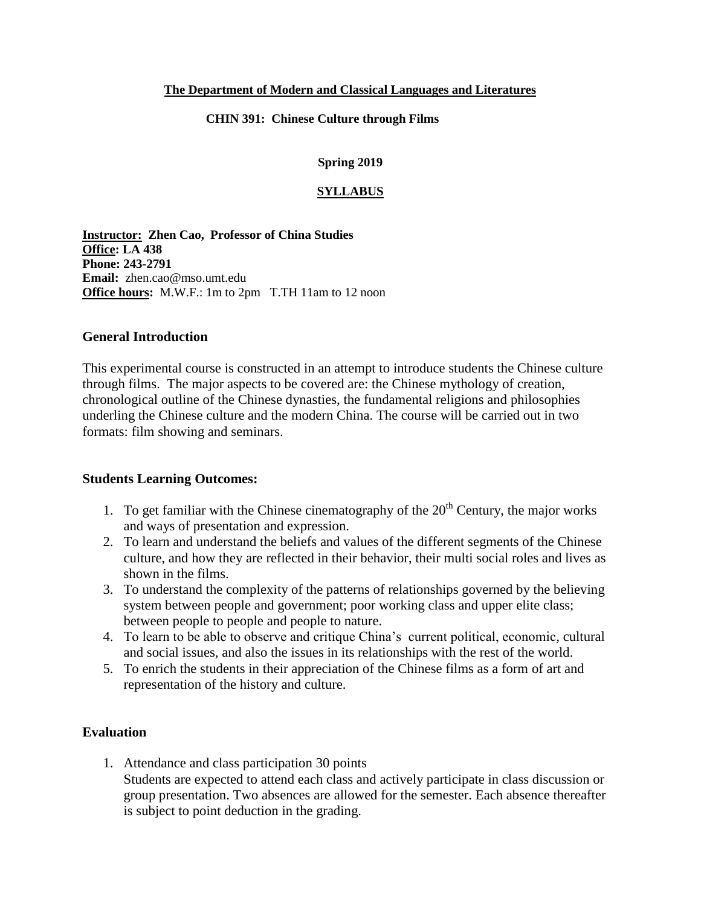#### **The Department of Modern and Classical Languages and Literatures**

#### **CHIN 391: Chinese Culture through Films**

#### **Spring 2019**

#### **SYLLABUS**

**Instructor: Zhen Cao, Professor of China Studies Office: LA 438 Phone: 243-2791 Email:** zhen.cao@mso.umt.edu **Office hours:** M.W.F.: 1m to 2pm T.TH 11am to 12 noon

#### **General Introduction**

This experimental course is constructed in an attempt to introduce students the Chinese culture through films. The major aspects to be covered are: the Chinese mythology of creation, chronological outline of the Chinese dynasties, the fundamental religions and philosophies underling the Chinese culture and the modern China. The course will be carried out in two formats: film showing and seminars.

#### **Students Learning Outcomes:**

- 1. To get familiar with the Chinese cinematography of the  $20<sup>th</sup>$  Century, the major works and ways of presentation and expression.
- 2. To learn and understand the beliefs and values of the different segments of the Chinese culture, and how they are reflected in their behavior, their multi social roles and lives as shown in the films.
- 3. To understand the complexity of the patterns of relationships governed by the believing system between people and government; poor working class and upper elite class; between people to people and people to nature.
- 4. To learn to be able to observe and critique China's current political, economic, cultural and social issues, and also the issues in its relationships with the rest of the world.
- 5. To enrich the students in their appreciation of the Chinese films as a form of art and representation of the history and culture.

#### **Evaluation**

1. Attendance and class participation 30 points Students are expected to attend each class and actively participate in class discussion or group presentation. Two absences are allowed for the semester. Each absence thereafter is subject to point deduction in the grading.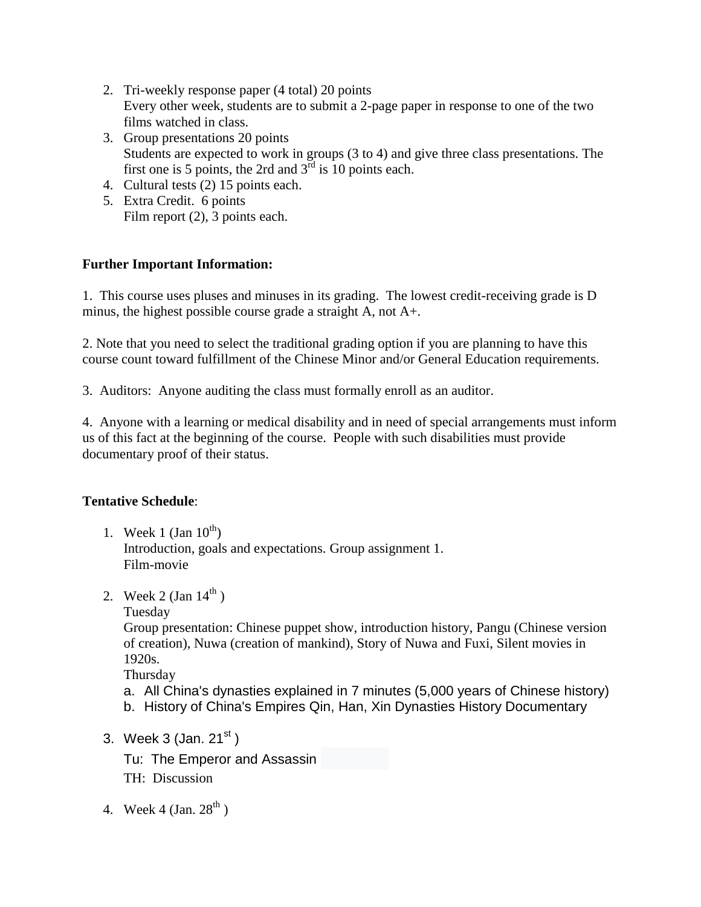- 2. Tri-weekly response paper (4 total) 20 points Every other week, students are to submit a 2-page paper in response to one of the two films watched in class.
- 3. Group presentations 20 points Students are expected to work in groups (3 to 4) and give three class presentations. The first one is 5 points, the 2rd and  $3<sup>rd</sup>$  is 10 points each.
- 4. Cultural tests (2) 15 points each.
- 5. Extra Credit. 6 points Film report  $(2)$ , 3 points each.

### **Further Important Information:**

1. This course uses pluses and minuses in its grading. The lowest credit-receiving grade is D minus, the highest possible course grade a straight A, not A+.

2. Note that you need to select the traditional grading option if you are planning to have this course count toward fulfillment of the Chinese Minor and/or General Education requirements.

3. Auditors: Anyone auditing the class must formally enroll as an auditor.

4. Anyone with a learning or medical disability and in need of special arrangements must inform us of this fact at the beginning of the course. People with such disabilities must provide documentary proof of their status.

#### **Tentative Schedule**:

- 1. Week 1 (Jan  $10^{th}$ ) Introduction, goals and expectations. Group assignment 1. Film-movie
- 2. Week 2 (Jan  $14^{th}$ )
	- Tuesday

Group presentation: Chinese puppet show, introduction history, Pangu (Chinese version of creation), Nuwa (creation of mankind), Story of Nuwa and Fuxi, Silent movies in 1920s.

Thursday

- a. All China's dynasties explained in 7 minutes (5,000 years of Chinese history)
- b. History of China's Empires Qin, Han, Xin Dynasties History Documentary
- 3. Week 3 (Jan.  $21<sup>st</sup>$ )
	- Tu: The Emperor and Assassin
	- TH: Discussion
- 4. Week 4 (Jan.  $28^{th}$ )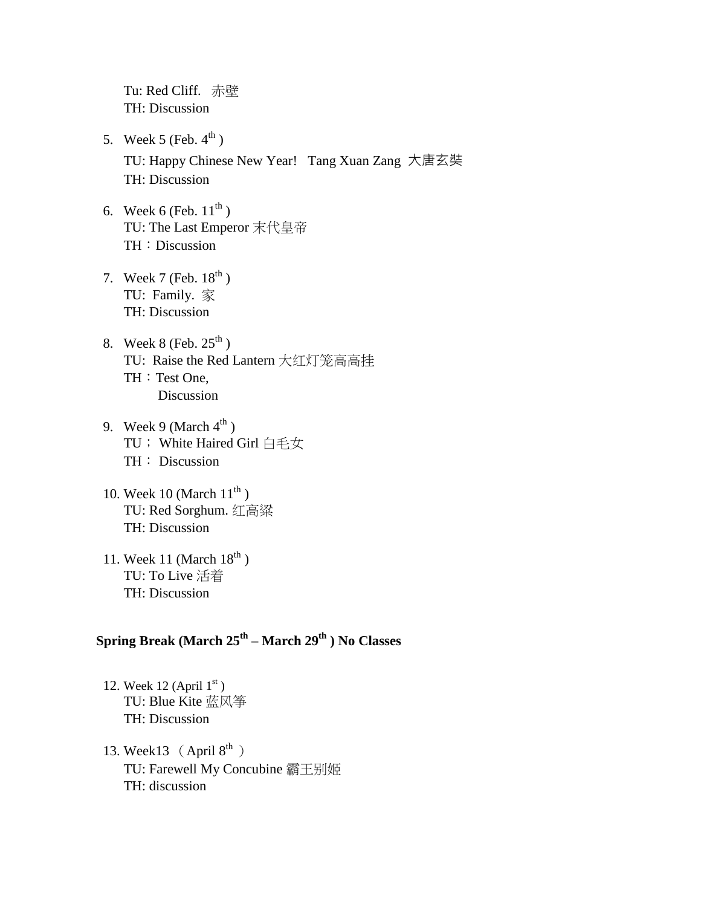Tu: Red Cliff. 赤壁 TH: Discussion

- 5. Week 5 (Feb.  $4^{\text{th}}$ ) TU: Happy Chinese New Year! Tang Xuan Zang 大唐玄奘 TH: Discussion
- 6. Week 6 (Feb.  $11^{th}$ ) TU: The Last Emperor 末代皇帝 TH: Discussion
- 7. Week 7 (Feb.  $18^{th}$ ) TU: Family. 家 TH: Discussion
- 8. Week 8 (Feb.  $25^{th}$ ) TU: Raise the Red Lantern 大红灯笼高高挂 TH: Test One, Discussion
- 9. Week 9 (March  $4^{th}$ ) TU; White Haired Girl 白毛女 TH: Discussion
- 10. Week 10 (March  $11^{\text{th}}$ ) TU: Red Sorghum. 红高粱 TH: Discussion
- 11. Week 11 (March  $18^{th}$ ) TU: To Live 活着 TH: Discussion

#### **Spring Break (March 25th – March 29th ) No Classes**

- 12. Week 12 (April  $1<sup>st</sup>$ ) TU: Blue Kite 蓝风筝 TH: Discussion
- 13. Week13  $(Apri 8<sup>th</sup>)$ TU: Farewell My Concubine 霸王别姬 TH: discussion